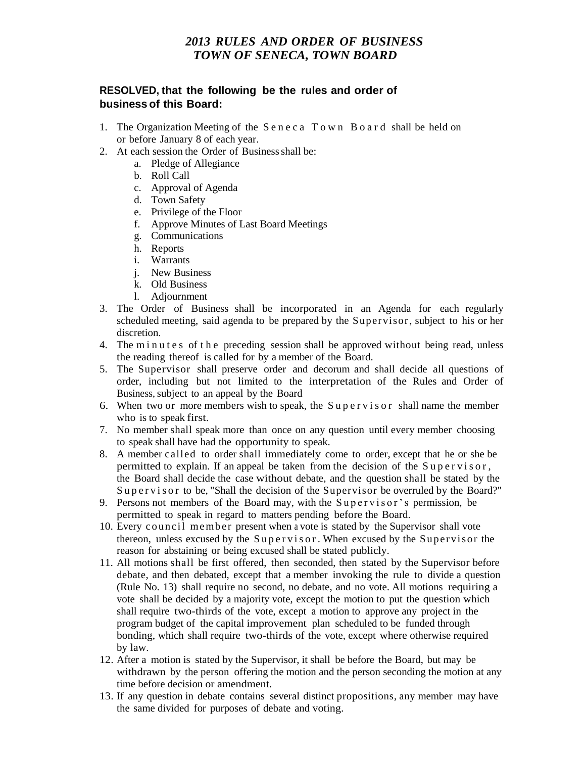## *2013 RULES AND ORDER OF BUSINESS TOWN OF SENECA, TOWN BOARD*

## **RESOLVED, that the following be the rules and order of business of this Board:**

- 1. The Organization Meeting of the S e n e c a T o w n B o a r d shall be held on or before January 8 of each year.
- 2. At each session the Order of Business shall be:
	- a. Pledge of Allegiance
	- b. Roll Call
	- c. Approval of Agenda
	- d. Town Safety
	- e. Privilege of the Floor
	- f. Approve Minutes of Last Board Meetings
	- g. Communications
	- h. Reports
	- i. Warrants
	- j. New Business
	- k. Old Business
	- l. Adjournment
- 3. The Order of Business shall be incorporated in an Agenda for each regularly scheduled meeting, said agenda to be prepared by the Supervisor, subject to his or her discretion.
- 4. The minutes of the preceding session shall be approved without being read, unless the reading thereof is called for by a member of the Board.
- 5. The Supervisor shall preserve order and decorum and shall decide all questions of order, including but not limited to the interpretation of the Rules and Order of Business, subject to an appeal by the Board
- 6. When two or more members wish to speak, the Supervisor shall name the member who is to speak first.
- 7. No member shall speak more than once on any question until every member choosing to speak shall have had the opportunity to speak.
- 8. A member called to order shall immediately come to order, except that he or she be permitted to explain. If an appeal be taken from the decision of the  $Supersvisor$ , the Board shall decide the case without debate, and the question shall be stated by the Supervisor to be, "Shall the decision of the Supervisor be overruled by the Board?"
- 9. Persons not members of the Board may, with the Supervisor's permission, be permitted to speak in regard to matters pending before the Board.
- 10. Every council member present when a vote is stated by the Supervisor shall vote thereon, unless excused by the Supervisor. When excused by the Supervisor the reason for abstaining or being excused shall be stated publicly.
- 11. All motions shall be first offered, then seconded, then stated by the Supervisor before debate, and then debated, except that a member invoking the rule to divide a question (Rule No. 13) shall require no second, no debate, and no vote. All motions requiring a vote shall be decided by a majority vote, except the motion to put the question which shall require two-thirds of the vote, except a motion to approve any project in the program budget of the capital improvement plan scheduled to be funded through bonding, which shall require two-thirds of the vote, except where otherwise required by law.
- 12. After a motion is stated by the Supervisor, it shall be before the Board, but may be withdrawn by the person offering the motion and the person seconding the motion at any time before decision or amendment.
- 13. If any question in debate contains several distinct propositions, any member may have the same divided for purposes of debate and voting.